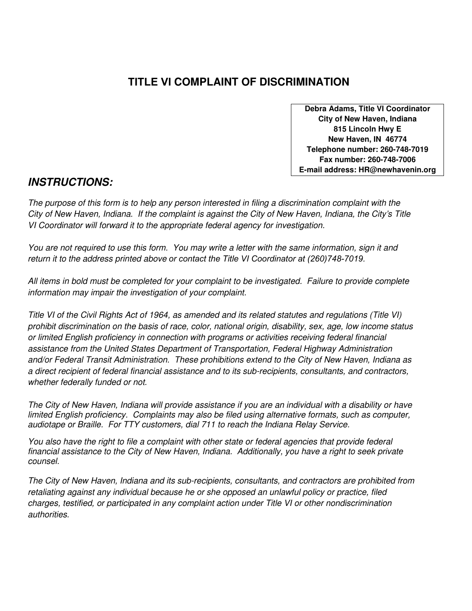## **TITLE VI COMPLAINT OF DISCRIMINATION**

**Debra Adams, Title VI Coordinator City of New Haven, Indiana 815 Lincoln Hwy E New Haven, IN 46774 Telephone number: 260-748-7019 Fax number: 260-748-7006 E-mail address: HR@newhavenin.org**

## *INSTRUCTIONS:*

*The purpose of this form is to help any person interested in filing a discrimination complaint with the City of New Haven, Indiana. If the complaint is against the City of New Haven, Indiana, the City's Title VI Coordinator will forward it to the appropriate federal agency for investigation.* 

*You are not required to use this form. You may write a letter with the same information, sign it and return it to the address printed above or contact the Title VI Coordinator at (260)748-7019.*

*All items in bold must be completed for your complaint to be investigated. Failure to provide complete information may impair the investigation of your complaint.* 

*Title VI of the Civil Rights Act of 1964, as amended and its related statutes and regulations (Title VI) prohibit discrimination on the basis of race, color, national origin, disability, sex, age, low income status or limited English proficiency in connection with programs or activities receiving federal financial assistance from the United States Department of Transportation, Federal Highway Administration and/or Federal Transit Administration. These prohibitions extend to the City of New Haven, Indiana as a direct recipient of federal financial assistance and to its sub-recipients, consultants, and contractors, whether federally funded or not.* 

*The City of New Haven, Indiana will provide assistance if you are an individual with a disability or have limited English proficiency. Complaints may also be filed using alternative formats, such as computer, audiotape or Braille. For TTY customers, dial 711 to reach the Indiana Relay Service.* 

*You also have the right to file a complaint with other state or federal agencies that provide federal financial assistance to the City of New Haven, Indiana. Additionally, you have a right to seek private counsel.* 

*The City of New Haven, Indiana and its sub-recipients, consultants, and contractors are prohibited from retaliating against any individual because he or she opposed an unlawful policy or practice, filed charges, testified, or participated in any complaint action under Title VI or other nondiscrimination authorities.*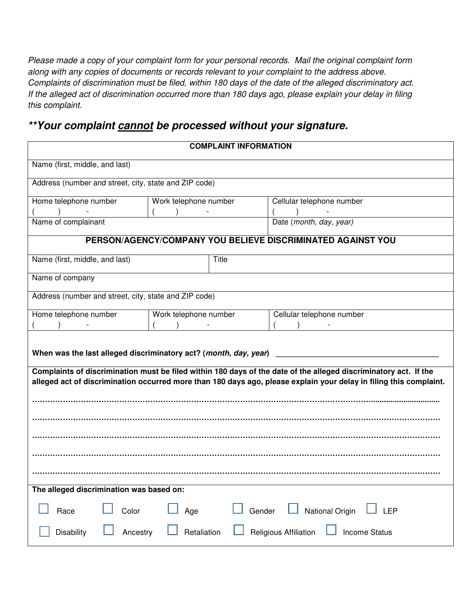*Please made a copy of your complaint form for your personal records. Mail the original complaint form along with any copies of documents or records relevant to your complaint to the address above. Complaints of discrimination must be filed, within 180 days of the date of the alleged discriminatory act. If the alleged act of discrimination occurred more than 180 days ago, please explain your delay in filing this complaint.* 

## *\*\*Your complaint cannot be processed without your signature.*

| <b>COMPLAINT INFORMATION</b>                                                                                                                                                                                                                                                                               |                       |        |                           |     |  |  |
|------------------------------------------------------------------------------------------------------------------------------------------------------------------------------------------------------------------------------------------------------------------------------------------------------------|-----------------------|--------|---------------------------|-----|--|--|
| Name (first, middle, and last)                                                                                                                                                                                                                                                                             |                       |        |                           |     |  |  |
| Address (number and street, city, state and ZIP code)                                                                                                                                                                                                                                                      |                       |        |                           |     |  |  |
| Home telephone number                                                                                                                                                                                                                                                                                      | Work telephone number |        | Cellular telephone number |     |  |  |
| Name of complainant                                                                                                                                                                                                                                                                                        |                       |        | Date (month, day, year)   |     |  |  |
| PERSON/AGENCY/COMPANY YOU BELIEVE DISCRIMINATED AGAINST YOU                                                                                                                                                                                                                                                |                       |        |                           |     |  |  |
| Name (first, middle, and last)                                                                                                                                                                                                                                                                             |                       | Title  |                           |     |  |  |
|                                                                                                                                                                                                                                                                                                            |                       |        |                           |     |  |  |
| Name of company                                                                                                                                                                                                                                                                                            |                       |        |                           |     |  |  |
| Address (number and street, city, state and ZIP code)                                                                                                                                                                                                                                                      |                       |        |                           |     |  |  |
| Home telephone number                                                                                                                                                                                                                                                                                      | Work telephone number |        | Cellular telephone number |     |  |  |
|                                                                                                                                                                                                                                                                                                            |                       |        |                           |     |  |  |
| When was the last alleged discriminatory act? (month, day, year)<br>Complaints of discrimination must be filed within 180 days of the date of the alleged discriminatory act. If the<br>alleged act of discrimination occurred more than 180 days ago, please explain your delay in filing this complaint. |                       |        |                           |     |  |  |
|                                                                                                                                                                                                                                                                                                            |                       |        |                           |     |  |  |
|                                                                                                                                                                                                                                                                                                            |                       |        |                           |     |  |  |
|                                                                                                                                                                                                                                                                                                            |                       |        |                           |     |  |  |
|                                                                                                                                                                                                                                                                                                            |                       |        |                           |     |  |  |
|                                                                                                                                                                                                                                                                                                            |                       |        |                           |     |  |  |
|                                                                                                                                                                                                                                                                                                            |                       |        |                           |     |  |  |
|                                                                                                                                                                                                                                                                                                            |                       |        |                           |     |  |  |
|                                                                                                                                                                                                                                                                                                            |                       |        |                           |     |  |  |
| The alleged discrimination was based on:<br>Color<br>Race                                                                                                                                                                                                                                                  | Age                   | Gender | $\Box$ National Origin    | LEP |  |  |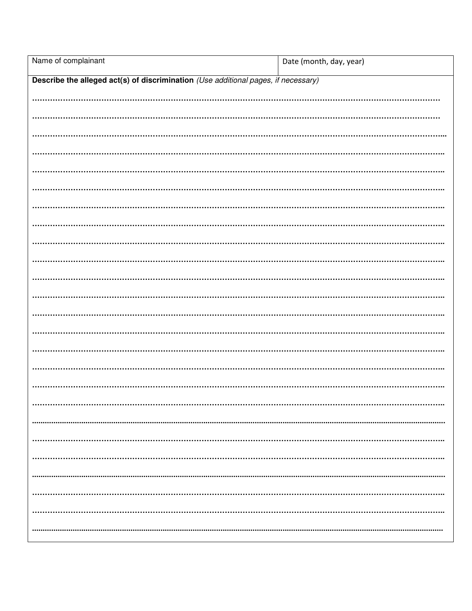| Name of complainant                                                                | Date (month, day, year) |  |  |  |
|------------------------------------------------------------------------------------|-------------------------|--|--|--|
| Describe the alleged act(s) of discrimination (Use additional pages, if necessary) |                         |  |  |  |
|                                                                                    |                         |  |  |  |
|                                                                                    |                         |  |  |  |
|                                                                                    |                         |  |  |  |
|                                                                                    |                         |  |  |  |
|                                                                                    |                         |  |  |  |
|                                                                                    |                         |  |  |  |
|                                                                                    |                         |  |  |  |
|                                                                                    |                         |  |  |  |
|                                                                                    |                         |  |  |  |
|                                                                                    |                         |  |  |  |
|                                                                                    |                         |  |  |  |
|                                                                                    |                         |  |  |  |
|                                                                                    |                         |  |  |  |
|                                                                                    |                         |  |  |  |
|                                                                                    |                         |  |  |  |
|                                                                                    |                         |  |  |  |
|                                                                                    |                         |  |  |  |
|                                                                                    |                         |  |  |  |
|                                                                                    |                         |  |  |  |
|                                                                                    |                         |  |  |  |
|                                                                                    |                         |  |  |  |
|                                                                                    |                         |  |  |  |
|                                                                                    |                         |  |  |  |
|                                                                                    |                         |  |  |  |
|                                                                                    |                         |  |  |  |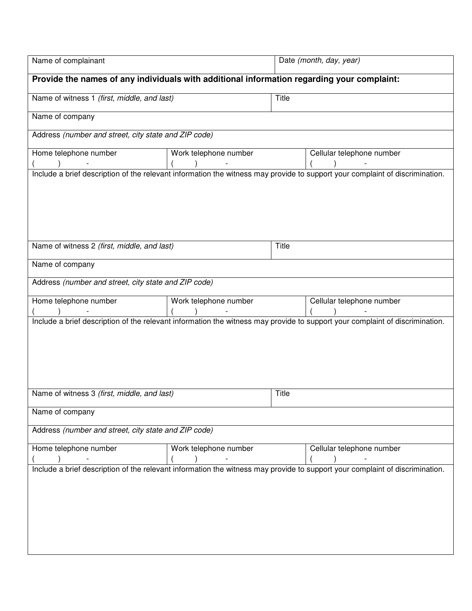| Name of complainant                                                                        |                       | Date (month, day, year) |                                                                                                                              |  |  |
|--------------------------------------------------------------------------------------------|-----------------------|-------------------------|------------------------------------------------------------------------------------------------------------------------------|--|--|
| Provide the names of any individuals with additional information regarding your complaint: |                       |                         |                                                                                                                              |  |  |
| Name of witness 1 (first, middle, and last)                                                |                       | Title                   |                                                                                                                              |  |  |
| Name of company                                                                            |                       |                         |                                                                                                                              |  |  |
| Address (number and street, city state and ZIP code)                                       |                       |                         |                                                                                                                              |  |  |
| Home telephone number                                                                      | Work telephone number |                         | Cellular telephone number                                                                                                    |  |  |
|                                                                                            |                       |                         | Include a brief description of the relevant information the witness may provide to support your complaint of discrimination. |  |  |
|                                                                                            |                       |                         |                                                                                                                              |  |  |
|                                                                                            |                       |                         |                                                                                                                              |  |  |
|                                                                                            |                       |                         |                                                                                                                              |  |  |
|                                                                                            |                       |                         |                                                                                                                              |  |  |
| Name of witness 2 (first, middle, and last)                                                |                       | Title                   |                                                                                                                              |  |  |
| Name of company                                                                            |                       |                         |                                                                                                                              |  |  |
| Address (number and street, city state and ZIP code)                                       |                       |                         |                                                                                                                              |  |  |
| Home telephone number                                                                      | Work telephone number |                         | Cellular telephone number                                                                                                    |  |  |
|                                                                                            |                       |                         | Include a brief description of the relevant information the witness may provide to support your complaint of discrimination. |  |  |
|                                                                                            |                       |                         |                                                                                                                              |  |  |
|                                                                                            |                       |                         |                                                                                                                              |  |  |
|                                                                                            |                       |                         |                                                                                                                              |  |  |
|                                                                                            |                       |                         |                                                                                                                              |  |  |
| Name of witness 3 (first, middle, and last)                                                |                       | Title                   |                                                                                                                              |  |  |
| Name of company                                                                            |                       |                         |                                                                                                                              |  |  |
| Address (number and street, city state and ZIP code)                                       |                       |                         |                                                                                                                              |  |  |
| Home telephone number                                                                      | Work telephone number |                         | Cellular telephone number                                                                                                    |  |  |
|                                                                                            |                       |                         | Include a brief description of the relevant information the witness may provide to support your complaint of discrimination. |  |  |
|                                                                                            |                       |                         |                                                                                                                              |  |  |
|                                                                                            |                       |                         |                                                                                                                              |  |  |
|                                                                                            |                       |                         |                                                                                                                              |  |  |
|                                                                                            |                       |                         |                                                                                                                              |  |  |
|                                                                                            |                       |                         |                                                                                                                              |  |  |
|                                                                                            |                       |                         |                                                                                                                              |  |  |